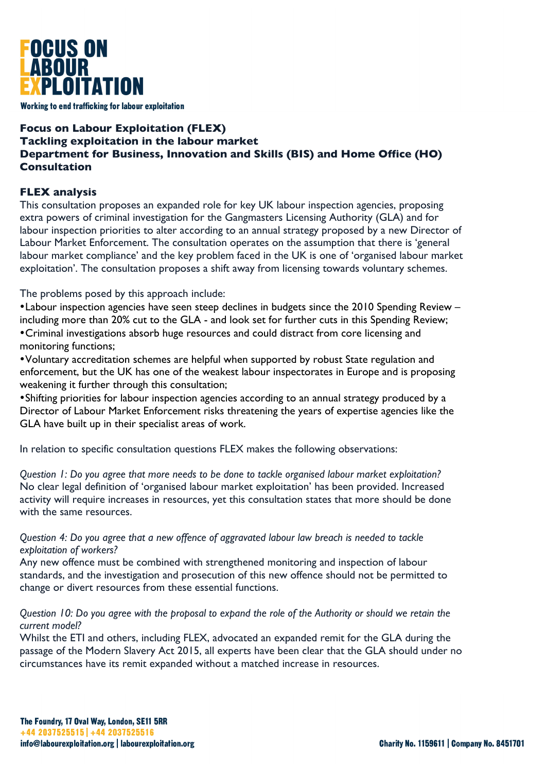

Working to end trafficking for labour exploitation

# **Focus on Labour Exploitation (FLEX) Tackling exploitation in the labour market Department for Business, Innovation and Skills (BIS) and Home Office (HO) Consultation**

## **FLEX analysis**

This consultation proposes an expanded role for key UK labour inspection agencies, proposing extra powers of criminal investigation for the Gangmasters Licensing Authority (GLA) and for labour inspection priorities to alter according to an annual strategy proposed by a new Director of Labour Market Enforcement. The consultation operates on the assumption that there is 'general labour market compliance' and the key problem faced in the UK is one of 'organised labour market exploitation'. The consultation proposes a shift away from licensing towards voluntary schemes.

The problems posed by this approach include:

•Labour inspection agencies have seen steep declines in budgets since the 2010 Spending Review – including more than 20% cut to the GLA - and look set for further cuts in this Spending Review; •Criminal investigations absorb huge resources and could distract from core licensing and monitoring functions;

•Voluntary accreditation schemes are helpful when supported by robust State regulation and enforcement, but the UK has one of the weakest labour inspectorates in Europe and is proposing weakening it further through this consultation;

•Shifting priorities for labour inspection agencies according to an annual strategy produced by a Director of Labour Market Enforcement risks threatening the years of expertise agencies like the GLA have built up in their specialist areas of work.

In relation to specific consultation questions FLEX makes the following observations:

*Question 1: Do you agree that more needs to be done to tackle organised labour market exploitation?* No clear legal definition of 'organised labour market exploitation' has been provided. Increased activity will require increases in resources, yet this consultation states that more should be done with the same resources.

*Question 4: Do you agree that a new offence of aggravated labour law breach is needed to tackle exploitation of workers?*

Any new offence must be combined with strengthened monitoring and inspection of labour standards, and the investigation and prosecution of this new offence should not be permitted to change or divert resources from these essential functions.

## *Question 10: Do you agree with the proposal to expand the role of the Authority or should we retain the current model?*

Whilst the ETI and others, including FLEX, advocated an expanded remit for the GLA during the passage of the Modern Slavery Act 2015, all experts have been clear that the GLA should under no circumstances have its remit expanded without a matched increase in resources.